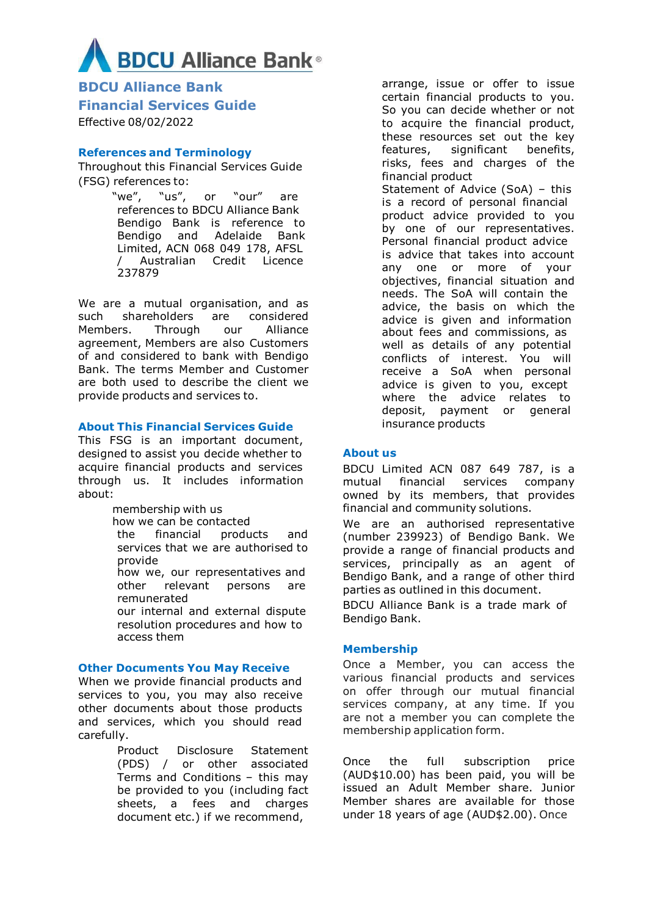# **BDCU Alliance Bank**®

**BDCU Alliance Bank Financial Services Guide**  Effective 08/02/2022

# **References and Terminology**

Throughout this Financial Services Guide (FSG) references to:

> "we", "us", or "our" are references to BDCU Alliance Bank Bendigo Bank is reference to Bendigo and Adelaide Bank Limited, ACN 068 049 178, AFSL / Australian Credit Licence 237879

We are a mutual organisation, and as such shareholders are considered Members. Through our Alliance agreement, Members are also Customers of and considered to bank with Bendigo Bank. The terms Member and Customer are both used to describe the client we provide products and services to.

## **About This Financial Services Guide**

This FSG is an important document, designed to assist you decide whether to acquire financial products and services through us. It includes information about:

> membership with us how we can be contacted the financial products and services that we are authorised to provide how we, our representatives and other relevant persons are remunerated our internal and external dispute resolution procedures and how to access them

#### **Other Documents You May Receive**

When we provide financial products and services to you, you may also receive other documents about those products and services, which you should read carefully.

> Product Disclosure Statement (PDS) / or other associated Terms and Conditions – this may be provided to you (including fact sheets, a fees and charges document etc.) if we recommend,

arrange, issue or offer to issue certain financial products to you. So you can decide whether or not to acquire the financial product, these resources set out the key features, significant benefits, risks, fees and charges of the financial product Statement of Advice (SoA) – this is a record of personal financial product advice provided to you by one of our representatives. Personal financial product advice is advice that takes into account any one or more of your objectives, financial situation and needs. The SoA will contain the advice, the basis on which the advice is given and information about fees and commissions, as well as details of any potential conflicts of interest. You will receive a SoA when personal advice is given to you, except where the advice relates to deposit, payment or general insurance products

# **About us**

BDCU Limited ACN 087 649 787, is a mutual financial services company owned by its members, that provides financial and community solutions.

We are an authorised representative (number 239923) of Bendigo Bank. We provide a range of financial products and services, principally as an agent of Bendigo Bank, and a range of other third parties as outlined in this document.

BDCU Alliance Bank is a trade mark of Bendigo Bank.

# **Membership**

Once a Member, you can access the various financial products and services on offer through our mutual financial services company, at any time. If you are not a member you can complete the membership application form.

Once the full subscription price (AUD\$10.00) has been paid, you will be issued an Adult Member share. Junior Member shares are available for those under 18 years of age (AUD\$2.00). Once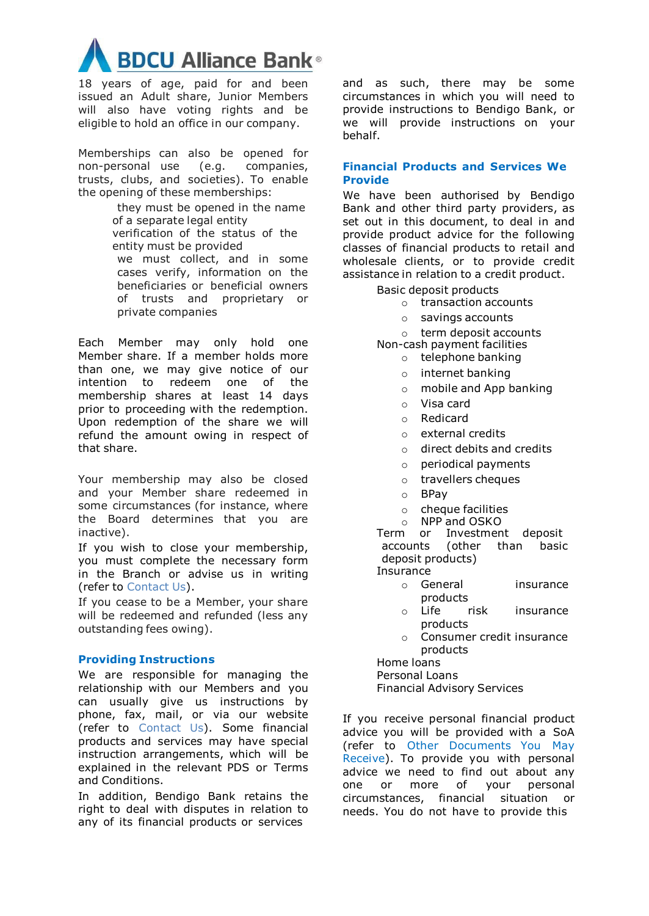

18 years of age, paid for and been issued an Adult share, Junior Members will also have voting rights and be eligible to hold an office in our company.

Memberships can also be opened for non-personal use (e.g. companies, trusts, clubs, and societies). To enable the opening of these memberships:

> they must be opened in the name of a separate legal entity verification of the status of the entity must be provided we must collect, and in some cases verify, information on the beneficiaries or beneficial owners of trusts and proprietary or private companies

Each Member may only hold one Member share. If a member holds more than one, we may give notice of our intention to redeem one of the membership shares at least 14 days prior to proceeding with the redemption. Upon redemption of the share we will refund the amount owing in respect of that share.

Your membership may also be closed and your Member share redeemed in some circumstances (for instance, where the Board determines that you are inactive).

If you wish to close your membership, you must complete the necessary form in the Branch or advise us in writing (refer to Contact Us).

If you cease to be a Member, your share will be redeemed and refunded (less any outstanding fees owing).

#### **Providing Instructions**

We are responsible for managing the relationship with our Members and you can usually give us instructions by phone, fax, mail, or via our website (refer to Contact Us). Some financial products and services may have special instruction arrangements, which will be explained in the relevant PDS or Terms and Conditions.

In addition, Bendigo Bank retains the right to deal with disputes in relation to any of its financial products or services

and as such, there may be some circumstances in which you will need to provide instructions to Bendigo Bank, or we will provide instructions on your behalf.

## **Financial Products and Services We Provide**

We have been authorised by Bendigo Bank and other third party providers, as set out in this document, to deal in and provide product advice for the following classes of financial products to retail and wholesale clients, or to provide credit assistance in relation to a credit product.

Basic deposit products

- o transaction accounts
- o savings accounts
- o term deposit accounts

Non-cash payment facilities o telephone banking

- o internet banking
- o mobile and App banking
- o Visa card
- o Redicard
- o external credits
- o direct debits and credits
- o periodical payments
- o travellers cheques
- o BPay
- o cheque facilities
- o NPP and OSKO

Term or Investment deposit accounts (other than basic deposit products)

- Insurance
	- o General insurance products
	- o Life risk insurance products
	- o Consumer credit insurance products

Home loans

Personal Loans

Financial Advisory Services

If you receive personal financial product advice you will be provided with a SoA (refer to Other Documents You May Receive). To provide you with personal advice we need to find out about any one or more of your personal circumstances, financial situation or needs. You do not have to provide this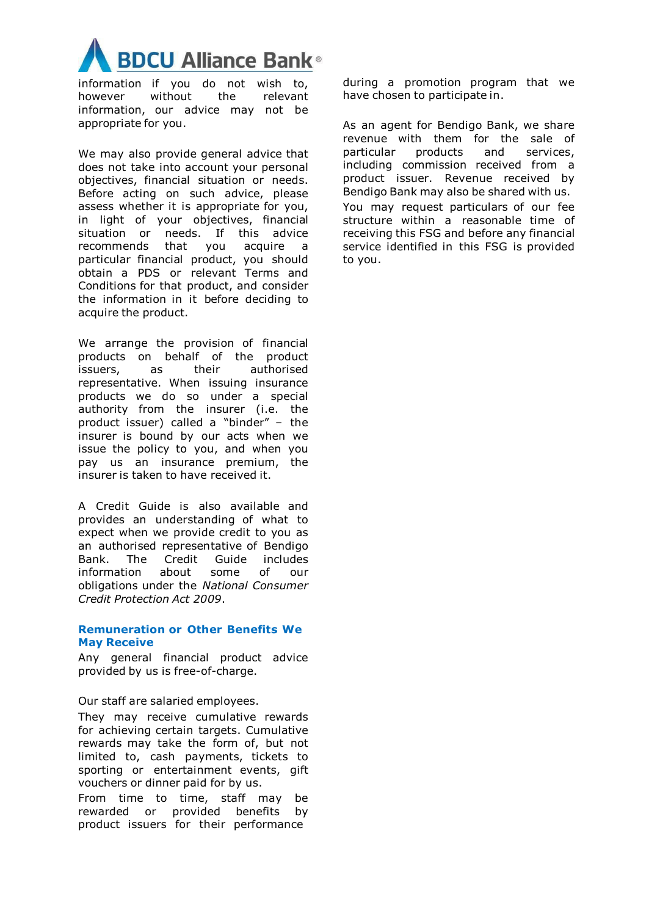

information if you do not wish to, however without the relevant information, our advice may not be appropriate for you.

We may also provide general advice that does not take into account your personal objectives, financial situation or needs. Before acting on such advice, please assess whether it is appropriate for you, in light of your objectives, financial situation or needs. If this advice recommends that you acquire a particular financial product, you should obtain a PDS or relevant Terms and Conditions for that product, and consider the information in it before deciding to acquire the product.

We arrange the provision of financial products on behalf of the product issuers, as their authorised representative. When issuing insurance products we do so under a special authority from the insurer (i.e. the product issuer) called a "binder" – the insurer is bound by our acts when we issue the policy to you, and when you pay us an insurance premium, the insurer is taken to have received it.

A Credit Guide is also available and provides an understanding of what to expect when we provide credit to you as an authorised representative of Bendigo Bank. The Credit Guide includes information about some of our obligations under the *National Consumer Credit Protection Act 2009*.

#### **Remuneration or Other Benefits We May Receive**

Any general financial product advice provided by us is free-of-charge.

Our staff are salaried employees.

They may receive cumulative rewards for achieving certain targets. Cumulative rewards may take the form of, but not limited to, cash payments, tickets to sporting or entertainment events, gift vouchers or dinner paid for by us.

From time to time, staff may be rewarded or provided benefits by product issuers for their performance

during a promotion program that we have chosen to participate in.

As an agent for Bendigo Bank, we share revenue with them for the sale of particular products and services, including commission received from a product issuer. Revenue received by Bendigo Bank may also be shared with us. You may request particulars of our fee structure within a reasonable time of receiving this FSG and before any financial service identified in this FSG is provided to you.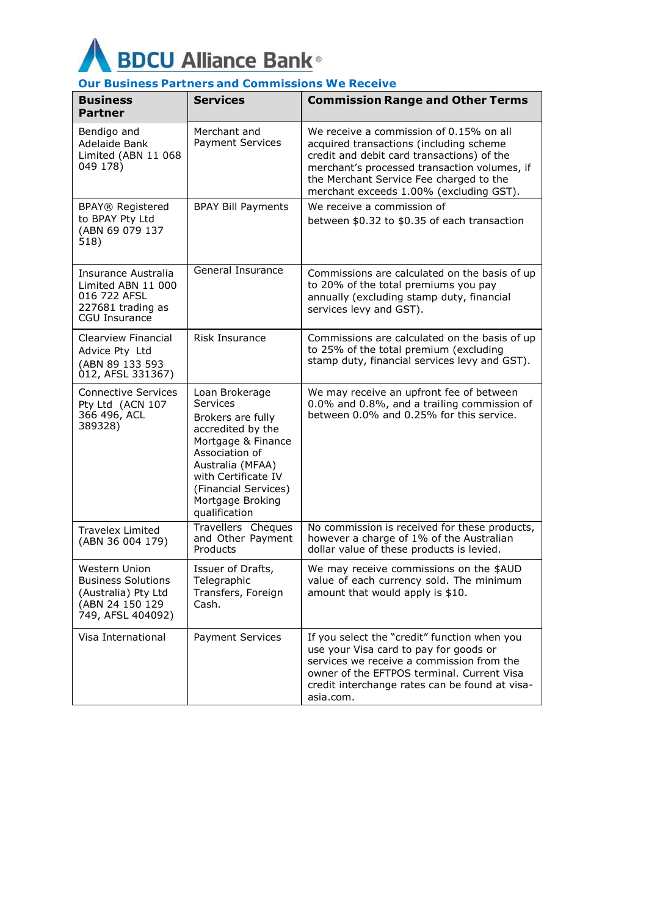

# **Our Business Partners and Commissions We Receive**

| <b>Business</b><br><b>Partner</b>                                                                  | <b>Services</b>                                                                                                                                                                                                      | <b>Commission Range and Other Terms</b>                                                                                                                                                                                                                                |
|----------------------------------------------------------------------------------------------------|----------------------------------------------------------------------------------------------------------------------------------------------------------------------------------------------------------------------|------------------------------------------------------------------------------------------------------------------------------------------------------------------------------------------------------------------------------------------------------------------------|
| Bendigo and<br>Adelaide Bank<br>Limited (ABN 11 068<br>049 178)                                    | Merchant and<br><b>Payment Services</b>                                                                                                                                                                              | We receive a commission of 0.15% on all<br>acquired transactions (including scheme<br>credit and debit card transactions) of the<br>merchant's processed transaction volumes, if<br>the Merchant Service Fee charged to the<br>merchant exceeds 1.00% (excluding GST). |
| <b>BPAY® Registered</b><br>to BPAY Pty Ltd<br>(ABN 69 079 137<br>518)                              | <b>BPAY Bill Payments</b>                                                                                                                                                                                            | We receive a commission of<br>between \$0.32 to \$0.35 of each transaction                                                                                                                                                                                             |
| Insurance Australia<br>Limited ABN 11 000<br>016 722 AFSL<br>227681 trading as<br>CGU Insurance    | General Insurance                                                                                                                                                                                                    | Commissions are calculated on the basis of up<br>to 20% of the total premiums you pay<br>annually (excluding stamp duty, financial<br>services levy and GST).                                                                                                          |
| Clearview Financial<br>Advice Pty Ltd<br>(ABN 89 133 593<br>012, AFSL 331367)                      | Risk Insurance                                                                                                                                                                                                       | Commissions are calculated on the basis of up<br>to 25% of the total premium (excluding<br>stamp duty, financial services levy and GST).                                                                                                                               |
| <b>Connective Services</b><br>Pty Ltd (ACN 107<br>366 496, ACL<br>389328)                          | Loan Brokerage<br>Services<br>Brokers are fully<br>accredited by the<br>Mortgage & Finance<br>Association of<br>Australia (MFAA)<br>with Certificate IV<br>(Financial Services)<br>Mortgage Broking<br>qualification | We may receive an upfront fee of between<br>0.0% and 0.8%, and a trailing commission of<br>between 0.0% and 0.25% for this service.                                                                                                                                    |
| <b>Travelex Limited</b><br>(ABN 36 004 179)                                                        | Travellers Cheques<br>and Other Payment<br>Products                                                                                                                                                                  | No commission is received for these products,<br>however a charge of 1% of the Australian<br>dollar value of these products is levied.                                                                                                                                 |
| Western Union<br>Business Solutions<br>(Australia) Pty Ltd<br>(ABN 24 150 129<br>749, AFSL 404092) | Issuer of Drafts,<br>Telegraphic<br>Transfers, Foreign<br>Cash.                                                                                                                                                      | We may receive commissions on the \$AUD<br>value of each currency sold. The minimum<br>amount that would apply is \$10.                                                                                                                                                |
| Visa International                                                                                 | Payment Services                                                                                                                                                                                                     | If you select the "credit" function when you<br>use your Visa card to pay for goods or<br>services we receive a commission from the<br>owner of the EFTPOS terminal, Current Visa<br>credit interchange rates can be found at visa-<br>asia.com.                       |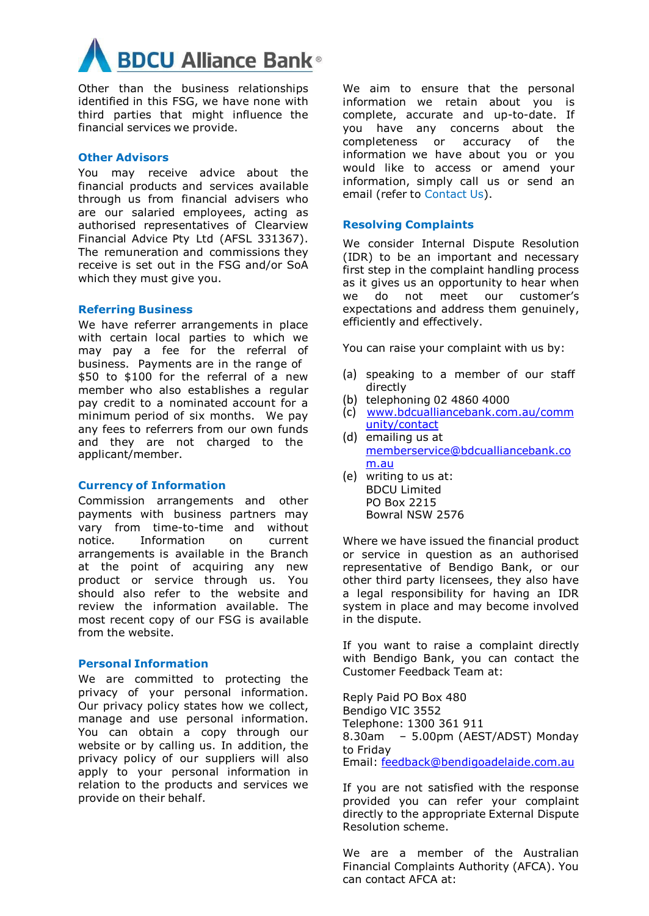

Other than the business relationships identified in this FSG, we have none with third parties that might influence the financial services we provide.

#### **Other Advisors**

You may receive advice about the financial products and services available through us from financial advisers who are our salaried employees, acting as authorised representatives of Clearview Financial Advice Pty Ltd (AFSL 331367). The remuneration and commissions they receive is set out in the FSG and/or SoA which they must give you.

#### **Referring Business**

We have referrer arrangements in place with certain local parties to which we may pay a fee for the referral of business. Payments are in the range of \$50 to \$100 for the referral of a new member who also establishes a regular pay credit to a nominated account for a minimum period of six months. We pay any fees to referrers from our own funds and they are not charged to the applicant/member.

#### **Currency of Information**

Commission arrangements and other payments with business partners may vary from time-to-time and without notice. Information on current arrangements is available in the Branch at the point of acquiring any new product or service through us. You should also refer to the website and review the information available. The most recent copy of our FSG is available from the website.

#### **Personal Information**

We are committed to protecting the privacy of your personal information. Our privacy policy states how we collect, manage and use personal information. You can obtain a copy through our website or by calling us. In addition, the privacy policy of our suppliers will also apply to your personal information in relation to the products and services we provide on their behalf.

We aim to ensure that the personal information we retain about you is complete, accurate and up-to-date. If you have any concerns about the completeness or accuracy of the information we have about you or you would like to access or amend your information, simply call us or send an email (refer to Contact Us).

#### **Resolving Complaints**

We consider Internal Dispute Resolution (IDR) to be an important and necessary first step in the complaint handling process as it gives us an opportunity to hear when we do not meet our customer's expectations and address them genuinely, efficiently and effectively.

You can raise your complaint with us by:

- (a) speaking to a member of our staff directly
- (b) telephoning 02 4860 4000
- (c) [www.bdcualliancebank.com.au/comm](https://www.bdcualliancebank.com.au/community/contact) [unity/contact](https://www.bdcualliancebank.com.au/community/contact)
- (d) emailing us at [memberservice@bdcualliancebank.co](mailto:memberservice@bdcualliancebank.com.au) [m.au](mailto:memberservice@bdcualliancebank.com.au)
- (e) writing to us at: BDCU Limited PO Box 2215 Bowral NSW 2576

Where we have issued the financial product or service in question as an authorised representative of Bendigo Bank, or our other third party licensees, they also have a legal responsibility for having an IDR system in place and may become involved in the dispute.

If you want to raise a complaint directly with Bendigo Bank, you can contact the Customer Feedback Team at:

Reply Paid PO Box 480 Bendigo VIC 3552 Telephone: 1300 361 911 8.30am – 5.00pm (AEST/ADST) Monday to Friday Email: [feedback@bendigoadelaide.com.au](mailto:feedback@bendigoadelaide.com.au)

If you are not satisfied with the response provided you can refer your complaint directly to the appropriate External Dispute Resolution scheme.

We are a member of the Australian Financial Complaints Authority (AFCA). You can contact AFCA at: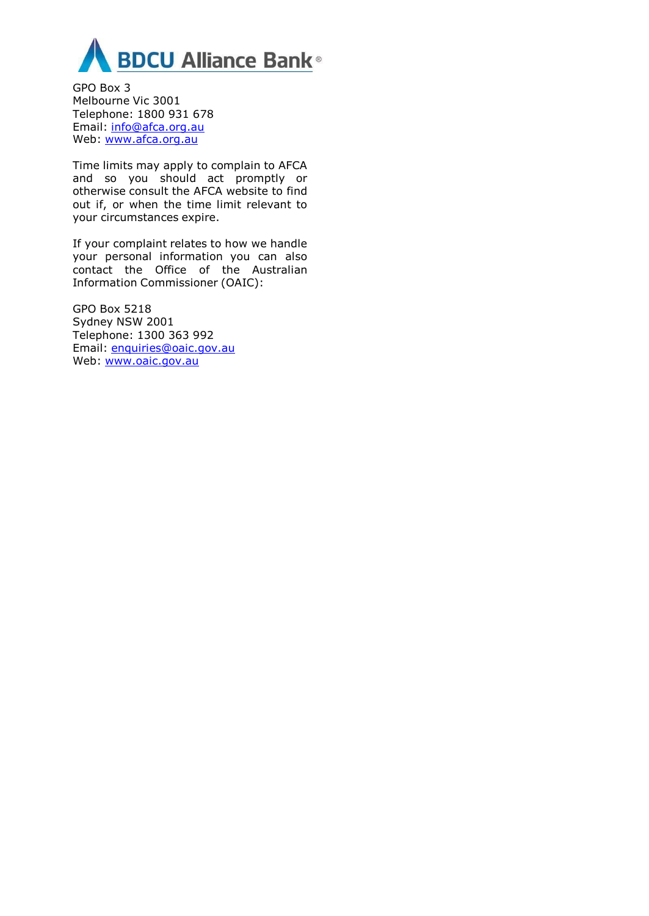

GPO Box 3 Melbourne Vic 3001 Telephone: 1800 931 678 Email: [info@afca.org.au](file://///FSV1-ABS-VMP.abs.prd/BDC-Data$/MARKETING/Disclosures%20BEN/info@afca.org.au) Web: [www.afca.org.au](http://www.afca.org.au/)

Time limits may apply to complain to AFCA and so you should act promptly or otherwise consult the AFCA website to find out if, or when the time limit relevant to your circumstances expire.

If your complaint relates to how we handle your personal information you can also contact the Office of the Australian Information Commissioner (OAIC):

GPO Box 5218 Sydney NSW 2001 Telephone: 1300 363 992 Email: [enquiries@oaic.gov.au](file://///FSV1-ABS-VMP.abs.prd/BDC-Data$/MARKETING/Disclosures%20BEN/enquiries@oaic.gov.au%20) Web: [www.oaic.gov.au](file://///FSV1-ABS-VMP.abs.prd/BDC-Data$/MARKETING/Disclosures%20BEN/www.oaic.gov.au)